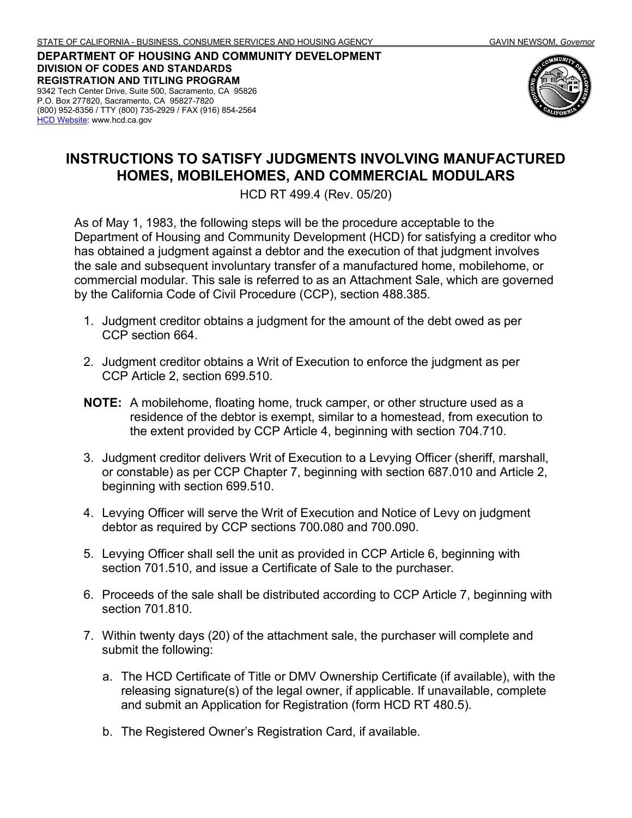**DEPARTMENT OF HOUSING AND COMMUNITY DEVELOPMENT DIVISION OF CODES AND STANDARDS REGISTRATION AND TITLING PROGRAM** 9342 Tech Center Drive, Suite 500, Sacramento, CA 95826 P.O. Box 277820, Sacramento, CA 95827-7820 (800) 952-8356 / TTY (800) 735-2929 / FAX (916) 854-2564 **[HCD Website:](http://www.hcd.ca.gov/) www.hcd.ca.gov** 



## **INSTRUCTIONS TO SATISFY JUDGMENTS INVOLVING MANUFACTURED HOMES, MOBILEHOMES, AND COMMERCIAL MODULARS**

HCD RT 499.4 (Rev. 05/20)

As of May 1, 1983, the following steps will be the procedure acceptable to the Department of Housing and Community Development (HCD) for satisfying a creditor who has obtained a judgment against a debtor and the execution of that judgment involves the sale and subsequent involuntary transfer of a manufactured home, mobilehome, or commercial modular. This sale is referred to as an Attachment Sale, which are governed by the California Code of Civil Procedure (CCP), section 488.385.

- 1. Judgment creditor obtains a judgment for the amount of the debt owed as per CCP section 664.
- 2. Judgment creditor obtains a Writ of Execution to enforce the judgment as per CCP Article 2, section 699.510.
- **NOTE:** A mobilehome, floating home, truck camper, or other structure used as a residence of the debtor is exempt, similar to a homestead, from execution to the extent provided by CCP Article 4, beginning with section 704.710.
- 3. Judgment creditor delivers Writ of Execution to a Levying Officer (sheriff, marshall, or constable) as per CCP Chapter 7, beginning with section 687.010 and Article 2, beginning with section 699.510.
- 4. Levying Officer will serve the Writ of Execution and Notice of Levy on judgment debtor as required by CCP sections 700.080 and 700.090.
- 5. Levying Officer shall sell the unit as provided in CCP Article 6, beginning with section 701.510, and issue a Certificate of Sale to the purchaser.
- 6. Proceeds of the sale shall be distributed according to CCP Article 7, beginning with section 701.810.
- 7. Within twenty days (20) of the attachment sale, the purchaser will complete and submit the following:
	- a. The HCD Certificate of Title or DMV Ownership Certificate (if available), with the releasing signature(s) of the legal owner, if applicable. If unavailable, complete and submit an Application for Registration (form HCD RT 480.5).
	- b. The Registered Owner's Registration Card, if available.